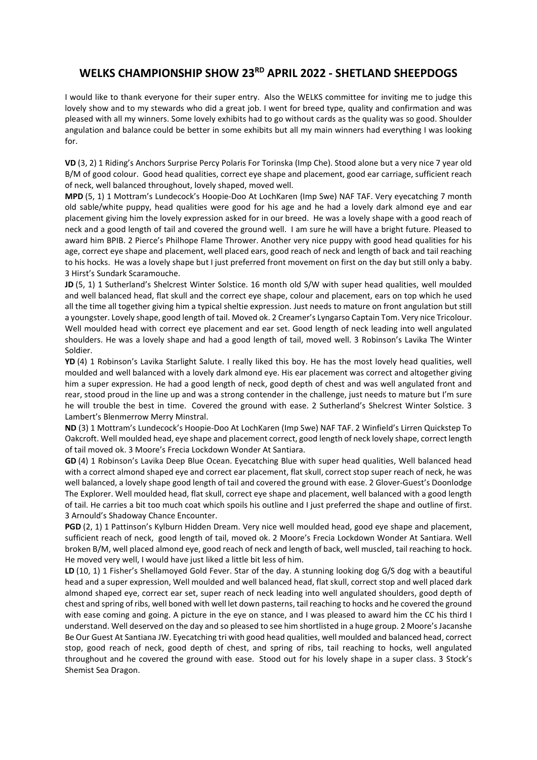## WELKS CHAMPIONSHIP SHOW 23<sup>RD</sup> APRIL 2022 - SHETLAND SHEEPDOGS

I would like to thank everyone for their super entry. Also the WELKS committee for inviting me to judge this lovely show and to my stewards who did a great job. I went for breed type, quality and confirmation and was pleased with all my winners. Some lovely exhibits had to go without cards as the quality was so good. Shoulder angulation and balance could be better in some exhibits but all my main winners had everything I was looking for.

VD (3, 2) 1 Riding's Anchors Surprise Percy Polaris For Torinska (Imp Che). Stood alone but a very nice 7 year old B/M of good colour. Good head qualities, correct eye shape and placement, good ear carriage, sufficient reach of neck, well balanced throughout, lovely shaped, moved well.

MPD (5, 1) 1 Mottram's Lundecock's Hoopie-Doo At LochKaren (Imp Swe) NAF TAF. Very eyecatching 7 month old sable/white puppy, head qualities were good for his age and he had a lovely dark almond eye and ear placement giving him the lovely expression asked for in our breed. He was a lovely shape with a good reach of neck and a good length of tail and covered the ground well. I am sure he will have a bright future. Pleased to award him BPIB. 2 Pierce's Philhope Flame Thrower. Another very nice puppy with good head qualities for his age, correct eye shape and placement, well placed ears, good reach of neck and length of back and tail reaching to his hocks. He was a lovely shape but I just preferred front movement on first on the day but still only a baby. 3 Hirst's Sundark Scaramouche.

JD (5, 1) 1 Sutherland's Shelcrest Winter Solstice. 16 month old S/W with super head qualities, well moulded and well balanced head, flat skull and the correct eye shape, colour and placement, ears on top which he used all the time all together giving him a typical sheltie expression. Just needs to mature on front angulation but still a youngster. Lovely shape, good length of tail. Moved ok. 2 Creamer's Lyngarso Captain Tom. Very nice Tricolour. Well moulded head with correct eye placement and ear set. Good length of neck leading into well angulated shoulders. He was a lovely shape and had a good length of tail, moved well. 3 Robinson's Lavika The Winter Soldier.

YD (4) 1 Robinson's Lavika Starlight Salute. I really liked this boy. He has the most lovely head qualities, well moulded and well balanced with a lovely dark almond eye. His ear placement was correct and altogether giving him a super expression. He had a good length of neck, good depth of chest and was well angulated front and rear, stood proud in the line up and was a strong contender in the challenge, just needs to mature but I'm sure he will trouble the best in time. Covered the ground with ease. 2 Sutherland's Shelcrest Winter Solstice. 3 Lambert's Blenmerrow Merry Minstral.

ND (3) 1 Mottram's Lundecock's Hoopie-Doo At LochKaren (Imp Swe) NAF TAF. 2 Winfield's Lirren Quickstep To Oakcroft. Well moulded head, eye shape and placement correct, good length of neck lovely shape, correct length of tail moved ok. 3 Moore's Frecia Lockdown Wonder At Santiara.

GD (4) 1 Robinson's Lavika Deep Blue Ocean. Eyecatching Blue with super head qualities, Well balanced head with a correct almond shaped eye and correct ear placement, flat skull, correct stop super reach of neck, he was well balanced, a lovely shape good length of tail and covered the ground with ease. 2 Glover-Guest's Doonlodge The Explorer. Well moulded head, flat skull, correct eye shape and placement, well balanced with a good length of tail. He carries a bit too much coat which spoils his outline and I just preferred the shape and outline of first. 3 Arnould's Shadoway Chance Encounter.

PGD (2, 1) 1 Pattinson's Kylburn Hidden Dream. Very nice well moulded head, good eye shape and placement, sufficient reach of neck, good length of tail, moved ok. 2 Moore's Frecia Lockdown Wonder At Santiara. Well broken B/M, well placed almond eye, good reach of neck and length of back, well muscled, tail reaching to hock. He moved very well, I would have just liked a little bit less of him.

LD (10, 1) 1 Fisher's Shellamoyed Gold Fever. Star of the day. A stunning looking dog G/S dog with a beautiful head and a super expression, Well moulded and well balanced head, flat skull, correct stop and well placed dark almond shaped eye, correct ear set, super reach of neck leading into well angulated shoulders, good depth of chest and spring of ribs, well boned with well let down pasterns, tail reaching to hocks and he covered the ground with ease coming and going. A picture in the eye on stance, and I was pleased to award him the CC his third I understand. Well deserved on the day and so pleased to see him shortlisted in a huge group. 2 Moore's Jacanshe Be Our Guest At Santiana JW. Eyecatching tri with good head qualities, well moulded and balanced head, correct stop, good reach of neck, good depth of chest, and spring of ribs, tail reaching to hocks, well angulated throughout and he covered the ground with ease. Stood out for his lovely shape in a super class. 3 Stock's Shemist Sea Dragon.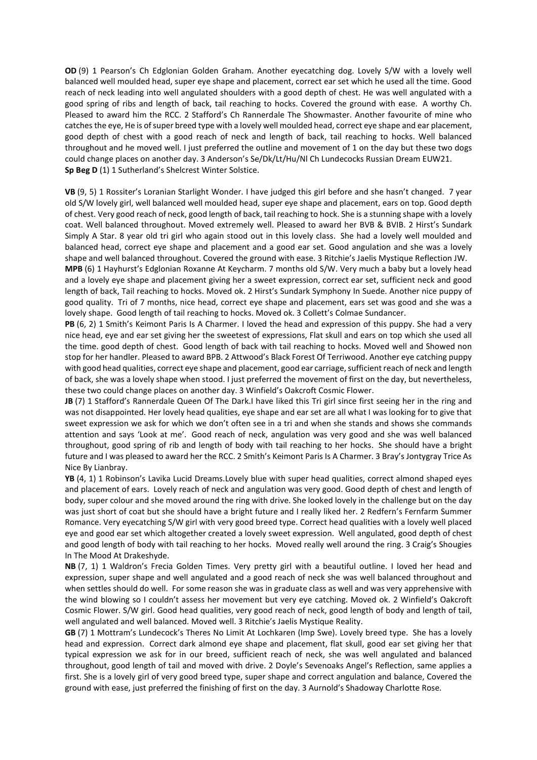OD (9) 1 Pearson's Ch Edglonian Golden Graham. Another eyecatching dog. Lovely S/W with a lovely well balanced well moulded head, super eye shape and placement, correct ear set which he used all the time. Good reach of neck leading into well angulated shoulders with a good depth of chest. He was well angulated with a good spring of ribs and length of back, tail reaching to hocks. Covered the ground with ease. A worthy Ch. Pleased to award him the RCC. 2 Stafford's Ch Rannerdale The Showmaster. Another favourite of mine who catches the eye, He is of super breed type with a lovely well moulded head, correct eye shape and ear placement, good depth of chest with a good reach of neck and length of back, tail reaching to hocks. Well balanced throughout and he moved well. I just preferred the outline and movement of 1 on the day but these two dogs could change places on another day. 3 Anderson's Se/Dk/Lt/Hu/Nl Ch Lundecocks Russian Dream EUW21. Sp Beg D (1) 1 Sutherland's Shelcrest Winter Solstice.

VB (9, 5) 1 Rossiter's Loranian Starlight Wonder. I have judged this girl before and she hasn't changed. 7 year old S/W lovely girl, well balanced well moulded head, super eye shape and placement, ears on top. Good depth of chest. Very good reach of neck, good length of back, tail reaching to hock. She is a stunning shape with a lovely coat. Well balanced throughout. Moved extremely well. Pleased to award her BVB & BVIB. 2 Hirst's Sundark Simply A Star. 8 year old tri girl who again stood out in this lovely class. She had a lovely well moulded and balanced head, correct eye shape and placement and a good ear set. Good angulation and she was a lovely shape and well balanced throughout. Covered the ground with ease. 3 Ritchie's Jaelis Mystique Reflection JW.

MPB (6) 1 Hayhurst's Edglonian Roxanne At Keycharm. 7 months old S/W. Very much a baby but a lovely head and a lovely eye shape and placement giving her a sweet expression, correct ear set, sufficient neck and good length of back, Tail reaching to hocks. Moved ok. 2 Hirst's Sundark Symphony In Suede. Another nice puppy of good quality. Tri of 7 months, nice head, correct eye shape and placement, ears set was good and she was a lovely shape. Good length of tail reaching to hocks. Moved ok. 3 Collett's Colmae Sundancer.

PB (6, 2) 1 Smith's Keimont Paris Is A Charmer. I loved the head and expression of this puppy. She had a very nice head, eye and ear set giving her the sweetest of expressions, Flat skull and ears on top which she used all the time. good depth of chest. Good length of back with tail reaching to hocks. Moved well and Showed non stop for her handler. Pleased to award BPB. 2 Attwood's Black Forest Of Terriwood. Another eye catching puppy with good head qualities, correct eye shape and placement, good ear carriage, sufficient reach of neck and length of back, she was a lovely shape when stood. I just preferred the movement of first on the day, but nevertheless, these two could change places on another day. 3 Winfield's Oakcroft Cosmic Flower.

JB (7) 1 Stafford's Rannerdale Queen Of The Dark.I have liked this Tri girl since first seeing her in the ring and was not disappointed. Her lovely head qualities, eye shape and ear set are all what I was looking for to give that sweet expression we ask for which we don't often see in a tri and when she stands and shows she commands attention and says 'Look at me'. Good reach of neck, angulation was very good and she was well balanced throughout, good spring of rib and length of body with tail reaching to her hocks. She should have a bright future and I was pleased to award her the RCC. 2 Smith's Keimont Paris Is A Charmer. 3 Bray's Jontygray Trice As Nice By Lianbray.

YB (4, 1) 1 Robinson's Lavika Lucid Dreams.Lovely blue with super head qualities, correct almond shaped eyes and placement of ears. Lovely reach of neck and angulation was very good. Good depth of chest and length of body, super colour and she moved around the ring with drive. She looked lovely in the challenge but on the day was just short of coat but she should have a bright future and I really liked her. 2 Redfern's Fernfarm Summer Romance. Very eyecatching S/W girl with very good breed type. Correct head qualities with a lovely well placed eye and good ear set which altogether created a lovely sweet expression. Well angulated, good depth of chest and good length of body with tail reaching to her hocks. Moved really well around the ring. 3 Craig's Shougies In The Mood At Drakeshyde.

NB (7, 1) 1 Waldron's Frecia Golden Times. Very pretty girl with a beautiful outline. I loved her head and expression, super shape and well angulated and a good reach of neck she was well balanced throughout and when settles should do well. For some reason she was in graduate class as well and was very apprehensive with the wind blowing so I couldn't assess her movement but very eye catching. Moved ok. 2 Winfield's Oakcroft Cosmic Flower. S/W girl. Good head qualities, very good reach of neck, good length of body and length of tail, well angulated and well balanced. Moved well. 3 Ritchie's Jaelis Mystique Reality.

GB (7) 1 Mottram's Lundecock's Theres No Limit At Lochkaren (Imp Swe). Lovely breed type. She has a lovely head and expression. Correct dark almond eye shape and placement, flat skull, good ear set giving her that typical expression we ask for in our breed, sufficient reach of neck, she was well angulated and balanced throughout, good length of tail and moved with drive. 2 Doyle's Sevenoaks Angel's Reflection, same applies a first. She is a lovely girl of very good breed type, super shape and correct angulation and balance, Covered the ground with ease, just preferred the finishing of first on the day. 3 Aurnold's Shadoway Charlotte Rose.